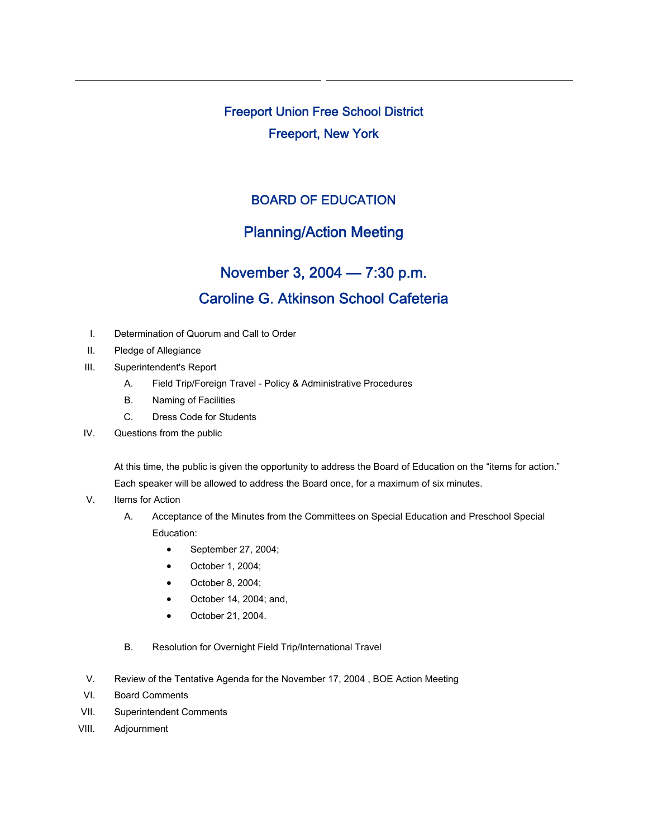Freeport Union Free School District Freeport, New York

## BOARD OF EDUCATION

## Planning/Action Meeting

## November 3, 2004 — 7:30 p.m. Caroline G. Atkinson School Cafeteria

- I. Determination of Quorum and Call to Order
- II. Pledge of Allegiance
- III. Superintendent's Report
	- A. Field Trip/Foreign Travel Policy & Administrative Procedures
	- B. Naming of Facilities
	- C. Dress Code for Students
- IV. Questions from the public

At this time, the public is given the opportunity to address the Board of Education on the "items for action." Each speaker will be allowed to address the Board once, for a maximum of six minutes.

- V. Items for Action
	- A. Acceptance of the Minutes from the Committees on Special Education and Preschool Special Education:
		- September 27, 2004;
		- October 1, 2004;
		- October 8, 2004;
		- October 14, 2004; and,
		- October 21, 2004.
	- B. Resolution for Overnight Field Trip/International Travel
- V. Review of the Tentative Agenda for the November 17, 2004 , BOE Action Meeting
- VI. Board Comments
- VII. Superintendent Comments
- VIII. Adjournment